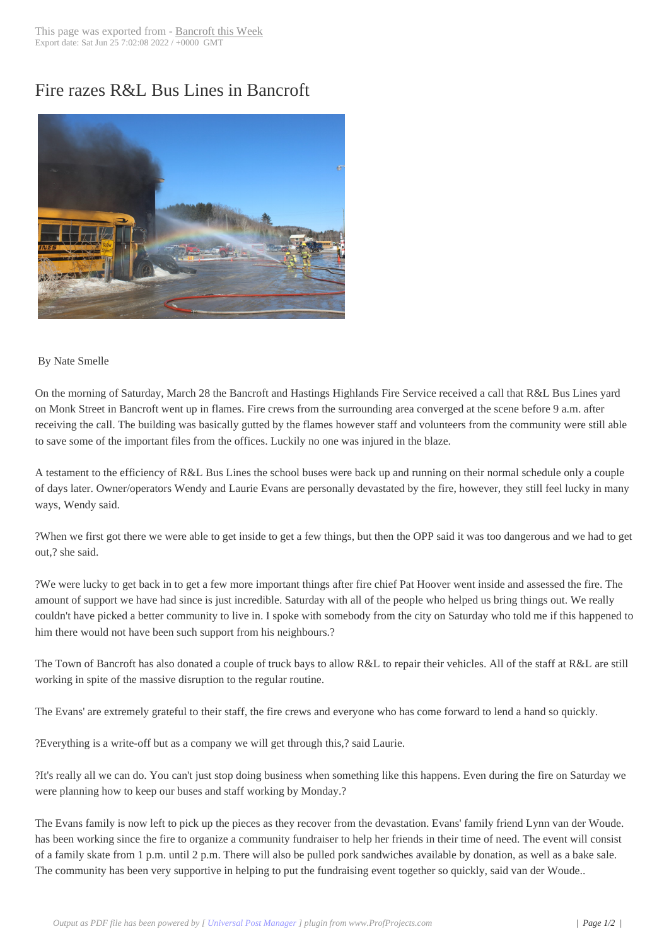## Fire razes R&L Bu[s Lines in Ba](http://www.bancroftthisweek.com/?p=4423)ncroft



## By Nate Smelle

On the morning of Saturday, March 28 the Bancroft and Hastings Highlands Fire Service received a call that R&L Bus Lines yard on Monk Street in Bancroft went up in flames. Fire crews from the surrounding area converged at the scene before 9 a.m. after receiving the call. The building was basically gutted by the flames however staff and volunteers from the community were still able to save some of the important files from the offices. Luckily no one was injured in the blaze.

A testament to the efficiency of R&L Bus Lines the school buses were back up and running on their normal schedule only a couple of days later. Owner/operators Wendy and Laurie Evans are personally devastated by the fire, however, they still feel lucky in many ways, Wendy said.

?When we first got there we were able to get inside to get a few things, but then the OPP said it was too dangerous and we had to get out,? she said.

?We were lucky to get back in to get a few more important things after fire chief Pat Hoover went inside and assessed the fire. The amount of support we have had since is just incredible. Saturday with all of the people who helped us bring things out. We really couldn't have picked a better community to live in. I spoke with somebody from the city on Saturday who told me if this happened to him there would not have been such support from his neighbours.?

The Town of Bancroft has also donated a couple of truck bays to allow R&L to repair their vehicles. All of the staff at R&L are still working in spite of the massive disruption to the regular routine.

The Evans' are extremely grateful to their staff, the fire crews and everyone who has come forward to lend a hand so quickly.

?Everything is a write-off but as a company we will get through this,? said Laurie.

?It's really all we can do. You can't just stop doing business when something like this happens. Even during the fire on Saturday we were planning how to keep our buses and staff working by Monday.?

The Evans family is now left to pick up the pieces as they recover from the devastation. Evans' family friend Lynn van der Woude. has been working since the fire to organize a community fundraiser to help her friends in their time of need. The event will consist of a family skate from 1 p.m. until 2 p.m. There will also be pulled pork sandwiches available by donation, as well as a bake sale. The community has been very supportive in helping to put the fundraising event together so quickly, said van der Woude..